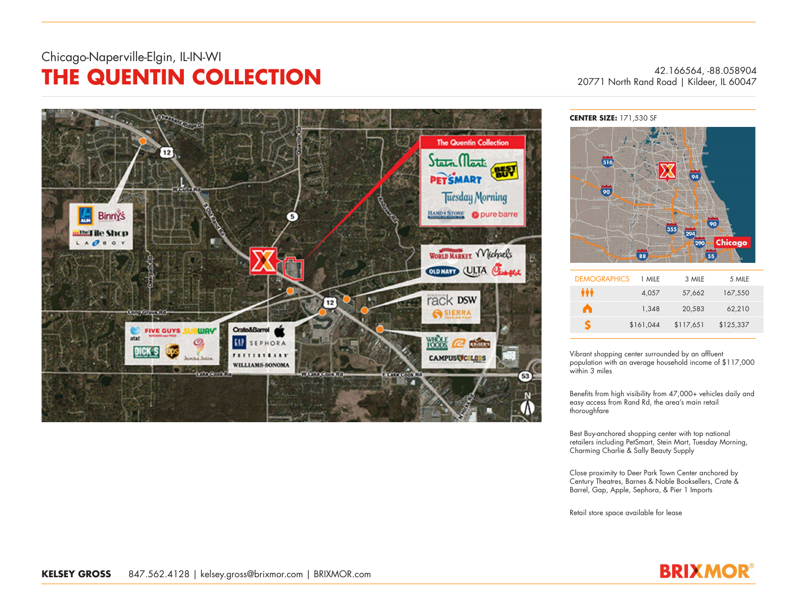## Chicago-Naperville-Elgin, IL-IN-WI **THE QUENTIN COLLECTION** 42.166564, -88.058904

20771 North Rand Road | Kildeer, IL 60047



**CENTER SIZE:** 171,530 SF



| <b>DEMOGRAPHICS</b> | 1 MILE    | 3 MILE    | 5 MILE    |
|---------------------|-----------|-----------|-----------|
| Ħ                   | 4,057     | 57,662    | 167,550   |
| n                   | 1.348     | 20,583    | 62,210    |
| S.                  | \$161,044 | \$117,651 | \$125,337 |

Vibrant shopping center surrounded by an afluent population with an average household income of \$117,000 within 3 miles

Benefits from high visibility from 47,000+ vehicles daily and easy access from Rand Rd, the area's main retail thoroughfare

Best Buy-anchored shopping center with top national retailers including PetSmart, Stein Mart, Tuesday Morning, Charming Charlie & Sally Beauty Supply

Close proximity to Deer Park Town Center anchored by Century Theatres, Barnes & Noble Booksellers, Crate & Barrel, Gap, Apple, Sephora, & Pier 1 Imports

Retail store space available for lease